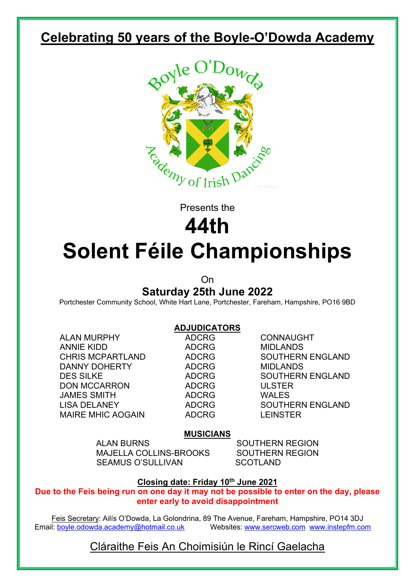# **Celebrating 50 years of the Boyle-O'Dowda Academy**



Presents the

# **44th Solent Féile Championships**

# On **Saturday 25th June 2022**

Portchester Community School, White Hart Lane, Portchester, Fareham, Hampshire, PO16 9BD

#### **ADJUDICATORS**

ALAN MURPHY ADCRG CONNAUGHT ANNIE KIDD ADCRG MIDLANDS DANNY DOHERTY ADCRG MIDLANDS DON MCCARRON ADCRG ULSTER JAMES SMITH ADCRG WALES MAIRE MHIC AOGAIN **ADCRG**LEINSTER

CHRIS MCPARTLAND ADCRG SOUTHERN ENGLAND DES SILKE ADCRG SOUTHERN ENGLAND LISA DELANEY ADCRG SOUTHERN ENGLAND

#### **MUSICIANS**

ALAN BURNS SOUTHERN REGION MAJELLA COLLINS-BROOKS SOUTHERN REGION SEAMUS O'SULLIVAN SCOTLAND

#### **Closing date: Friday 10th June 2021**

**Due to the Feis being run on one day it may not be possible to enter on the day, please enter early to avoid disappointment**

Feis Secretary: Ailís O'Dowda, La Golondrina, 89 The Avenue, Fareham, Hampshire, PO14 3DJ<br>Email: boyle.odowda.academy@hotmail.co.uk Websites: www.sercweb.com www.instepfm.co Websites: [www.sercweb.com](http://www.sercweb.com/) [www.instepfm.com](http://www.instepfm.com/)

## Cláraithe Feis An Choimisiún le Rincí Gaelacha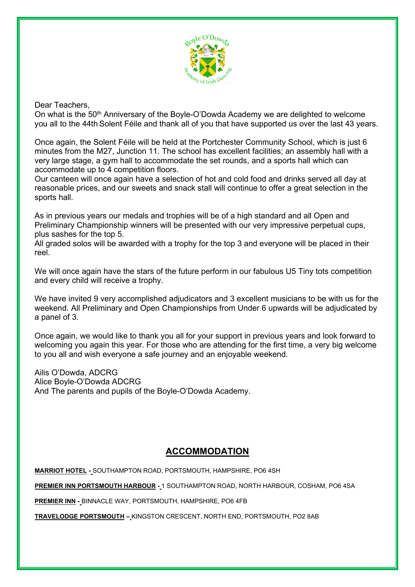

#### Dear Teachers,

On what is the 50th Anniversary of the Boyle-O'Dowda Academy we are delighted to welcome you all to the 44th Solent Féile and thank all of you that have supported us over the last 43 years.

Once again, the Solent Féile will be held at the Portchester Community School, which is just 6 minutes from the M27, Junction 11. The school has excellent facilities; an assembly hall with a very large stage, a gym hall to accommodate the set rounds, and a sports hall which can accommodate up to 4 competition floors.

Our canteen will once again have a selection of hot and cold food and drinks served all day at reasonable prices, and our sweets and snack stall will continue to offer a great selection in the sports hall.

As in previous years our medals and trophies will be of a high standard and all Open and Preliminary Championship winners will be presented with our very impressive perpetual cups, plus sashes for the top 5.

All graded solos will be awarded with a trophy for the top 3 and everyone will be placed in their reel.

We will once again have the stars of the future perform in our fabulous U5 Tiny tots competition and every child will receive a trophy.

We have invited 9 very accomplished adjudicators and 3 excellent musicians to be with us for the weekend. All Preliminary and Open Championships from Under 6 upwards will be adjudicated by a panel of 3.

Once again, we would like to thank you all for your support in previous years and look forward to welcoming you again this year. For those who are attending for the first time, a very big welcome to you all and wish everyone a safe journey and an enjoyable weekend.

Ailis O'Dowda, ADCRG Alice Boyle-O'Dowda ADCRG And The parents and pupils of the Boyle-O'Dowda Academy.

### **ACCOMMODATION**

**MARRIOT HOTEL -** SOUTHAMPTON ROAD, PORTSMOUTH, HAMPSHIRE, PO6 4SH

**PREMIER INN PORTSMOUTH HARBOUR -** 1 SOUTHAMPTON ROAD, NORTH HARBOUR, COSHAM, PO6 4SA

**PREMIER INN -** BINNACLE WAY, PORTSMOUTH, HAMPSHIRE, PO6 4FB

**TRAVELODGE PORTSMOUTH –** KINGSTON CRESCENT, NORTH END, PORTSMOUTH, PO2 8AB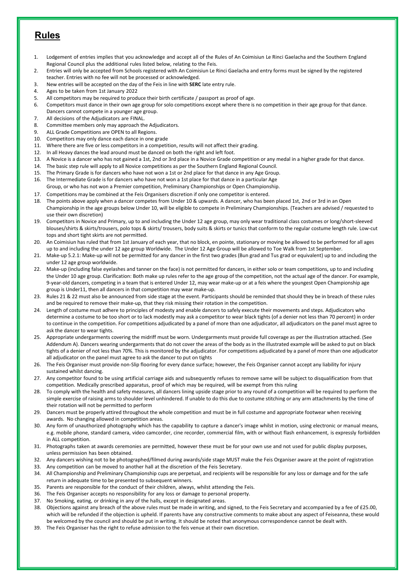### **Rules**

- 1. Lodgement of entries implies that you acknowledge and accept all of the Rules of An Coimisiun Le Rinci Gaelacha and the Southern England Regional Council plus the additional rules listed below, relating to the Feis.
- 2. Entries will only be accepted from Schools registered with An Coimisiun Le Rinci Gaelacha and entry forms must be signed by the registered teacher. Entries with no fee will not be processed or acknowledged.
- 3. New entries will be accepted on the day of the Feis in line with **SERC** late entry rule.
- 4. Ages to be taken from 1st January 2022
- 5. All competitors may be required to produce their birth certificate / passport as proof of age.
- 6. Competitors must dance in their own age group for solo competitions except where there is no competition in their age group for that dance. Dancers cannot compete in a younger age group.
- 7. All decisions of the Adjudicators are FINAL.
- 8. Committee members only may approach the Adjudicators.
- 9. ALL Grade Competitions are OPEN to all Regions.
- 10. Competitors may only dance each dance in one grade
- 11. Where there are five or less competitors in a competition, results will not affect their grading.
- 12. In all Heavy dances the lead around must be danced on both the right and left foot.
- 13. A Novice is a dancer who has not gained a 1st, 2nd or 3rd place in a Novice Grade competition or any medal in a higher grade for that dance.
- 14. The basic step rule will apply to all Novice competitions as per the Southern England Regional Council.
- 15. The Primary Grade is for dancers who have not won a 1st or 2nd place for that dance in any Age Group.
- 16. The Intermediate Grade is for dancers who have not won a 1st place for that dance in a particular Age Group, or who has not won a Premier competition, Preliminary Championships or Open Championship.
- 17. Competitions may be combined at the Feis Organisers discretion if only one competitor is entered.
- 18. The points above apply when a dancer competes from Under 10 & upwards. A dancer, who has been placed 1st, 2nd or 3rd in an Open Championship in the age groups below Under 10, will be eligible to compete in Preliminary Championships. (Teachers are advised / requested to use their own discretion)
- 19. Competitors in Novice and Primary, up to and including the Under 12 age group, may only wear traditional class costumes or long/short-sleeved blouses/shirts & skirts/trousers, polo tops & skirts/ trousers, body suits & skirts or tunics that conform to the regular costume length rule. Low-cut tops and short tight skirts are not permitted.
- 20. An Coimisiun has ruled that from 1st January of each year, that no block, en pointe, stationary or moving be allowed to be performed for all ages up to and including the under 12 age group Worldwide. The Under 12 Age Group will be allowed to Toe Walk from 1st September.
- 21. Make-up 5.2.1: Make-up will not be permitted for any dancer in the first two grades (Bun grad and Tus grad or equivalent) up to and including the under 12 age group worldwide.
- 22. Make-up (including false eyelashes and tanner on the face) is not permitted for dancers, in either solo or team competitions, up to and including the Under 10 age group. Clarification: Both make up rules refer to the age group of the competition, not the actual age of the dancer. For example, 9-year-old dancers, competing in a team that is entered Under 12, may wear make-up or at a feis where the youngest Open Championship age group is Under11, then all dancers in that competition may wear make-up.
- 23. Rules 21 & 22 must also be announced from side stage at the event. Participants should be reminded that should they be in breach of these rules and be required to remove their make-up, that they risk missing their rotation in the competition.
- 24. Length of costume must adhere to principles of modesty and enable dancers to safely execute their movements and steps. Adjudicators who determine a costume to be too short or to lack modestly may ask a competitor to wear black tights (of a denier not less than 70 percent) in order to continue in the competition. For competitions adjudicated by a panel of more than one adjudicator, all adjudicators on the panel must agree to ask the dancer to wear tights.
- 25. Appropriate undergarments covering the midriff must be worn. Undergarments must provide full coverage as per the illustration attached. (See Addendum A). Dancers wearing undergarments that do not cover the areas of the body as in the illustrated example will be asked to put on black tights of a denier of not less than 70%. This is monitored by the adjudicator. For competitions adjudicated by a panel of more than one adjudicator all adjudicator on the panel must agree to ask the dancer to put on tights
- 26. The Feis Organiser must provide non-Slip flooring for every dance surface; however, the Feis Organiser cannot accept any liability for injury sustained whilst dancing.
- 27. Any competitor found to be using artificial carriage aids and subsequently refuses to remove same will be subject to disqualification from that competition. Medically prescribed apparatus, proof of which may be required, will be exempt from this ruling
- 28. To comply with the health and safety measures, all dancers lining upside stage prior to any round of a competition will be required to perform the simple exercise of raising arms to shoulder level unhindered. If unable to do this due to costume stitching or any arm attachments by the time of their rotation will not be permitted to perform
- 29. Dancers must be properly attired throughout the whole competition and must be in full costume and appropriate footwear when receiving awards. No changing allowed in competition areas.
- 30. Any form of unauthorized photography which has the capability to capture a dancer's image whilst in motion, using electronic or manual means, e.g. mobile phone, standard camera, video camcorder, cine recorder, commercial film, with or without flash enhancement, is expressly forbidden in ALL competition.
- 31. Photographs taken at awards ceremonies are permitted, however these must be for your own use and not used for public display purposes, unless permission has been obtained.
- 32. Any dancers wishing not to be photographed/filmed during awards/side stage MUST make the Feis Organiser aware at the point of registration
- 33. Any competition can be moved to another hall at the discretion of the Feis Secretary.
- 34. All Championship and Preliminary Championship cups are perpetual, and recipients will be responsible for any loss or damage and for the safe return in adequate time to be presented to subsequent winners.
- 35. Parents are responsible for the conduct of their children, always, whilst attending the Feis.
- 36. The Feis Organiser accepts no responsibility for any loss or damage to personal property.
- 37. No Smoking, eating, or drinking in any of the halls, except in designated areas.
- 38. Objections against any breach of the above rules must be made in writing, and signed, to the Feis Secretary and accompanied by a fee of £25.00, which will be refunded if the objection is upheld. If parents have any constructive comments to make about any aspect of Feiseanna, these would be welcomed by the council and should be put in writing. It should be noted that anonymous correspondence cannot be dealt with.
- 39. The Feis Organiser has the right to refuse admission to the feis venue at their own discretion.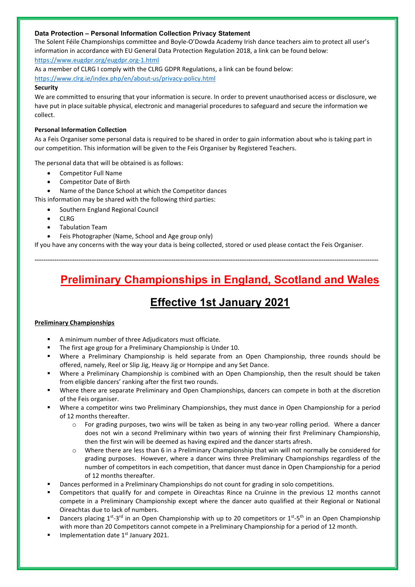#### **Data Protection – Personal Information Collection Privacy Statement**

The Solent Féile Championships committee and Boyle-O'Dowda Academy Irish dance teachers aim to protect all user's information in accordance with EU General Data Protection Regulation 2018, a link can be found below: <https://www.eugdpr.org/eugdpr.org-1.html>

As a member of CLRG I comply with the CLRG GDPR Regulations, a link can be found below: <https://www.clrg.ie/index.php/en/about-us/privacy-policy.html>

#### **Security**

We are committed to ensuring that your information is secure. In order to prevent unauthorised access or disclosure, we have put in place suitable physical, electronic and managerial procedures to safeguard and secure the information we collect.

#### **Personal Information Collection**

As a Feis Organiser some personal data is required to be shared in order to gain information about who is taking part in our competition. This information will be given to the Feis Organiser by Registered Teachers.

The personal data that will be obtained is as follows:

- Competitor Full Name
- Competitor Date of Birth
- Name of the Dance School at which the Competitor dances

This information may be shared with the following third parties:

- Southern England Regional Council
- CLRG
- Tabulation Team
- Feis Photographer (Name, School and Age group only)

If you have any concerns with the way your data is being collected, stored or used please contact the Feis Organiser.

------------------------------------------------------------------------------------------------------------------------------------------------------------

# **Preliminary Championships in England, Scotland and Wales**

# **Effective 1st January 2021**

#### **Preliminary Championships**

- A minimum number of three Adjudicators must officiate.
- The first age group for a Preliminary Championship is Under 10.
- Where a Preliminary Championship is held separate from an Open Championship, three rounds should be offered, namely, Reel or Slip Jig, Heavy Jig or Hornpipe and any Set Dance.
- Where a Preliminary Championship is combined with an Open Championship, then the result should be taken from eligible dancers' ranking after the first two rounds.
- Where there are separate Preliminary and Open Championships, dancers can compete in both at the discretion of the Feis organiser.
- Where a competitor wins two Preliminary Championships, they must dance in Open Championship for a period of 12 months thereafter.
	- $\circ$  For grading purposes, two wins will be taken as being in any two-year rolling period. Where a dancer does not win a second Preliminary within two years of winning their first Preliminary Championship, then the first win will be deemed as having expired and the dancer starts afresh.
	- o Where there are less than 6 in a Preliminary Championship that win will not normally be considered for grading purposes. However, where a dancer wins three Preliminary Championships regardless of the number of competitors in each competition, that dancer must dance in Open Championship for a period of 12 months thereafter.
- Dances performed in a Preliminary Championships do not count for grading in solo competitions.
- Competitors that qualify for and compete in Oireachtas Rince na Cruinne in the previous 12 months cannot compete in a Preliminary Championship except where the dancer auto qualified at their Regional or National Oireachtas due to lack of numbers.
- Dancers placing  $1^{st}$ -3<sup>rd</sup> in an Open Championship with up to 20 competitors or  $1^{st}$ -5<sup>th</sup> in an Open Championship with more than 20 Competitors cannot compete in a Preliminary Championship for a period of 12 month.
- Implementation date 1<sup>st</sup> January 2021.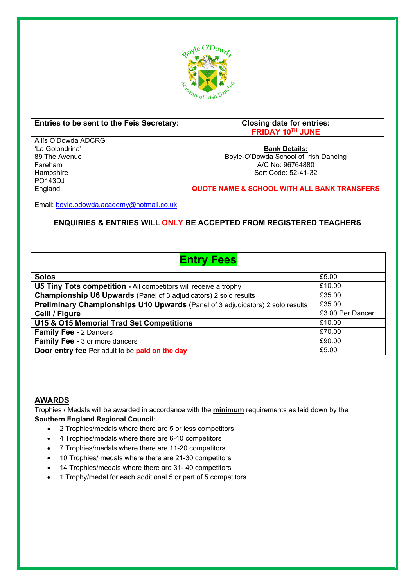

| Entries to be sent to the Feis Secretary: | <b>Closing date for entries:</b><br>FRIDAY 10TH JUNE   |
|-------------------------------------------|--------------------------------------------------------|
| Ailís O'Dowda ADCRG                       |                                                        |
| 'La Golondrina'                           | <b>Bank Details:</b>                                   |
| 89 The Avenue                             | Boyle-O'Dowda School of Irish Dancing                  |
| Fareham                                   | A/C No: 96764880                                       |
| Hampshire                                 | Sort Code: 52-41-32                                    |
| <b>PO143DJ</b>                            |                                                        |
| England                                   | <b>QUOTE NAME &amp; SCHOOL WITH ALL BANK TRANSFERS</b> |
|                                           |                                                        |
| Email: boyle.odowda.academy@hotmail.co.uk |                                                        |

### **ENQUIRIES & ENTRIES WILL ONLY BE ACCEPTED FROM REGISTERED TEACHERS**

# **Entry Fees**

| <b>Solos</b>                                                                          | £5.00            |
|---------------------------------------------------------------------------------------|------------------|
| <b>U5 Tiny Tots competition - All competitors will receive a trophy</b>               | £10.00           |
| <b>Championship U6 Upwards</b> (Panel of 3 adjudicators) 2 solo results               | £35.00           |
| <b>Preliminary Championships U10 Upwards (Panel of 3 adjudicators) 2 solo results</b> | £35.00           |
| Ceili / Figure                                                                        | £3.00 Per Dancer |
| U15 & O15 Memorial Trad Set Competitions                                              | £10.00           |
| <b>Family Fee - 2 Dancers</b>                                                         | £70.00           |
| <b>Family Fee - 3 or more dancers</b>                                                 | £90.00           |
| Door entry fee Per adult to be paid on the day                                        | £5.00            |

#### **AWARDS**

Trophies / Medals will be awarded in accordance with the **minimum** requirements as laid down by the **Southern England Regional Council**:

- 2 Trophies/medals where there are 5 or less competitors
- 4 Trophies/medals where there are 6-10 competitors
- 7 Trophies/medals where there are 11-20 competitors
- 10 Trophies/ medals where there are 21-30 competitors
- 14 Trophies/medals where there are 31- 40 competitors
- 1 Trophy/medal for each additional 5 or part of 5 competitors.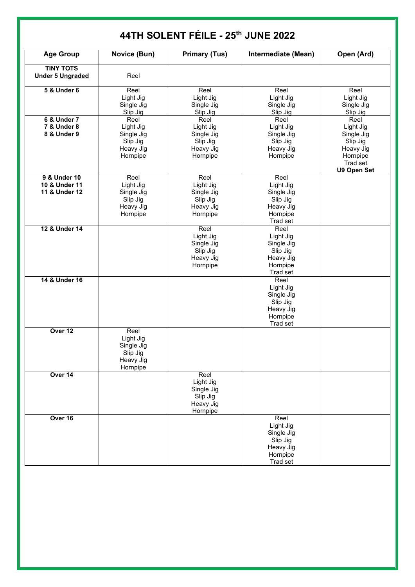| <b>Age Group</b>                                     | Novice (Bun)                                                         | <b>Primary (Tus)</b>                                                 | Intermediate (Mean)                                                              | Open (Ard)                                                                                      |
|------------------------------------------------------|----------------------------------------------------------------------|----------------------------------------------------------------------|----------------------------------------------------------------------------------|-------------------------------------------------------------------------------------------------|
| <b>TINY TOTS</b><br>Under 5 Ungraded                 | Reel                                                                 |                                                                      |                                                                                  |                                                                                                 |
| <b>5 &amp; Under 6</b>                               | Reel<br>Light Jig<br>Single Jig<br>Slip Jig                          | Reel<br>Light Jig<br>Single Jig<br>Slip Jig                          | Reel<br>Light Jig<br>Single Jig<br>Slip Jig                                      | Reel<br>Light Jig<br>Single Jig<br>Slip Jig                                                     |
| 6 & Under 7<br><b>7 &amp; Under 8</b><br>8 & Under 9 | Reel<br>Light Jig<br>Single Jig<br>Slip Jig<br>Heavy Jig<br>Hornpipe | Reel<br>Light Jig<br>Single Jig<br>Slip Jig<br>Heavy Jig<br>Hornpipe | Reel<br>Light Jig<br>Single Jig<br>Slip Jig<br>Heavy Jig<br>Hornpipe             | Reel<br>Light Jig<br>Single Jig<br>Slip Jig<br>Heavy Jig<br>Hornpipe<br>Trad set<br>U9 Open Set |
| 9 & Under 10<br>10 & Under 11<br>11 & Under 12       | Reel<br>Light Jig<br>Single Jig<br>Slip Jig<br>Heavy Jig<br>Hornpipe | Reel<br>Light Jig<br>Single Jig<br>Slip Jig<br>Heavy Jig<br>Hornpipe | Reel<br>Light Jig<br>Single Jig<br>Slip Jig<br>Heavy Jig<br>Hornpipe<br>Trad set |                                                                                                 |
| 12 & Under 14                                        |                                                                      | Reel<br>Light Jig<br>Single Jig<br>Slip Jig<br>Heavy Jig<br>Hornpipe | Reel<br>Light Jig<br>Single Jig<br>Slip Jig<br>Heavy Jig<br>Hornpipe<br>Trad set |                                                                                                 |
| 14 & Under 16                                        |                                                                      |                                                                      | Reel<br>Light Jig<br>Single Jig<br>Slip Jig<br>Heavy Jig<br>Hornpipe<br>Trad set |                                                                                                 |
| Over 12                                              | Reel<br>Light Jig<br>Single Jig<br>Slip Jig<br>Heavy Jig<br>Hornpipe |                                                                      |                                                                                  |                                                                                                 |
| Over 14                                              |                                                                      | Reel<br>Light Jig<br>Single Jig<br>Slip Jig<br>Heavy Jig<br>Hornpipe |                                                                                  |                                                                                                 |
| Over 16                                              |                                                                      |                                                                      | Reel<br>Light Jig<br>Single Jig<br>Slip Jig<br>Heavy Jig<br>Hornpipe             |                                                                                                 |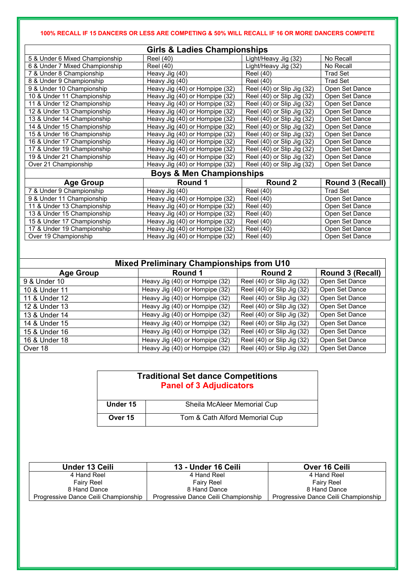#### **100% RECALL IF 15 DANCERS OR LESS ARE COMPETING & 50% WILL RECALL IF 16 OR MORE DANCERS COMPETE**

| <b>Girls &amp; Ladies Championships</b> |                                 |                            |                 |
|-----------------------------------------|---------------------------------|----------------------------|-----------------|
| 5 & Under 6 Mixed Championship          | <b>Reel</b> (40)                | Light/Heavy Jig (32)       | No Recall       |
| 6 & Under 7 Mixed Championship          | Reel (40)                       | Light/Heavy Jig (32)       | No Recall       |
| 7 & Under 8 Championship                | Heavy Jig (40)                  | Reel (40)                  | <b>Trad Set</b> |
| 8 & Under 9 Championship                | Heavy Jig (40)                  | <b>Reel</b> (40)           | <b>Trad Set</b> |
| 9 & Under 10 Championship               | Heavy Jig (40) or Hornpipe (32) | Reel (40) or Slip Jig (32) | Open Set Dance  |
| 10 & Under 11 Championship              | Heavy Jig (40) or Hornpipe (32) | Reel (40) or Slip Jig (32) | Open Set Dance  |
| 11 & Under 12 Championship              | Heavy Jig (40) or Hornpipe (32) | Reel (40) or Slip Jig (32) | Open Set Dance  |
| 12 & Under 13 Championship              | Heavy Jig (40) or Hornpipe (32) | Reel (40) or Slip Jig (32) | Open Set Dance  |
| 13 & Under 14 Championship              | Heavy Jig (40) or Hornpipe (32) | Reel (40) or Slip Jig (32) | Open Set Dance  |
| 14 & Under 15 Championship              | Heavy Jig (40) or Hornpipe (32) | Reel (40) or Slip Jig (32) | Open Set Dance  |
| 15 & Under 16 Championship              | Heavy Jig (40) or Hornpipe (32) | Reel (40) or Slip Jig (32) | Open Set Dance  |
| 16 & Under 17 Championship              | Heavy Jig (40) or Hornpipe (32) | Reel (40) or Slip Jig (32) | Open Set Dance  |
| 17 & Under 19 Championship              | Heavy Jig (40) or Hornpipe (32) | Reel (40) or Slip Jig (32) | Open Set Dance  |
| 19 & Under 21 Championship              | Heavy Jig (40) or Hornpipe (32) | Reel (40) or Slip Jig (32) | Open Set Dance  |
| Over 21 Championship                    | Heavy Jig (40) or Hornpipe (32) | Reel (40) or Slip Jig (32) | Open Set Dance  |
| <b>Boys &amp; Men Championships</b>     |                                 |                            |                 |

### **Boys & Men Championships**

| <b>Age Group</b>           | Round 1                         | Round 2          | <b>Round 3 (Recall)</b> |
|----------------------------|---------------------------------|------------------|-------------------------|
| 7 & Under 9 Championship   | Heavy Jig (40)                  | <b>Reel</b> (40) | <b>Trad Set</b>         |
| 9 & Under 11 Championship  | Heavy Jig (40) or Hornpipe (32) | Reel (40)        | Open Set Dance          |
| 11 & Under 13 Championship | Heavy Jig (40) or Hornpipe (32) | <b>Reel (40)</b> | Open Set Dance          |
| 13 & Under 15 Championship | Heavy Jig (40) or Hornpipe (32) | Reel (40)        | Open Set Dance          |
| 15 & Under 17 Championship | Heavy Jig (40) or Hornpipe (32) | Reel (40)        | Open Set Dance          |
| 17 & Under 19 Championship | Heavy Jig (40) or Hornpipe (32) | Reel (40)        | Open Set Dance          |
| Over 19 Championship       | Heavy Jig (40) or Hornpipe (32) | Reel (40)        | Open Set Dance          |

| <b>Mixed Preliminary Championships from U10</b> |                                 |                            |                  |
|-------------------------------------------------|---------------------------------|----------------------------|------------------|
| <b>Age Group</b>                                | Round 1                         | Round 2                    | Round 3 (Recall) |
| 9 & Under 10                                    | Heavy Jig (40) or Hornpipe (32) | Reel (40) or Slip Jig (32) | Open Set Dance   |
| 10 & Under 11                                   | Heavy Jig (40) or Hornpipe (32) | Reel (40) or Slip Jig (32) | Open Set Dance   |
| 11 & Under 12                                   | Heavy Jig (40) or Hornpipe (32) | Reel (40) or Slip Jig (32) | Open Set Dance   |
| 12 & Under 13                                   | Heavy Jig (40) or Hornpipe (32) | Reel (40) or Slip Jig (32) | Open Set Dance   |
| 13 & Under 14                                   | Heavy Jig (40) or Hornpipe (32) | Reel (40) or Slip Jig (32) | Open Set Dance   |
| 14 & Under 15                                   | Heavy Jig (40) or Hornpipe (32) | Reel (40) or Slip Jig (32) | Open Set Dance   |
| 15 & Under 16                                   | Heavy Jig (40) or Hornpipe (32) | Reel (40) or Slip Jig (32) | Open Set Dance   |
| 16 & Under 18                                   | Heavy Jig (40) or Hornpipe (32) | Reel (40) or Slip Jig (32) | Open Set Dance   |
| Over 18                                         | Heavy Jig (40) or Hornpipe (32) | Reel (40) or Slip Jig (32) | Open Set Dance   |

| <b>Traditional Set dance Competitions</b><br><b>Panel of 3 Adjudicators</b> |                                |  |
|-----------------------------------------------------------------------------|--------------------------------|--|
| Under 15                                                                    | Sheila McAleer Memorial Cup    |  |
| Over 15                                                                     | Tom & Cath Alford Memorial Cup |  |

| Under 13 Ceili                       | 13 - Under 16 Ceili                  | Over 16 Ceili                        |
|--------------------------------------|--------------------------------------|--------------------------------------|
| 4 Hand Reel                          | 4 Hand Reel                          | 4 Hand Reel                          |
| <b>Fairy Reel</b>                    | <b>Fairy Reel</b>                    | <b>Fairy Reel</b>                    |
| 8 Hand Dance                         | 8 Hand Dance                         | 8 Hand Dance                         |
| Progressive Dance Ceili Championship | Progressive Dance Ceili Championship | Progressive Dance Ceili Championship |